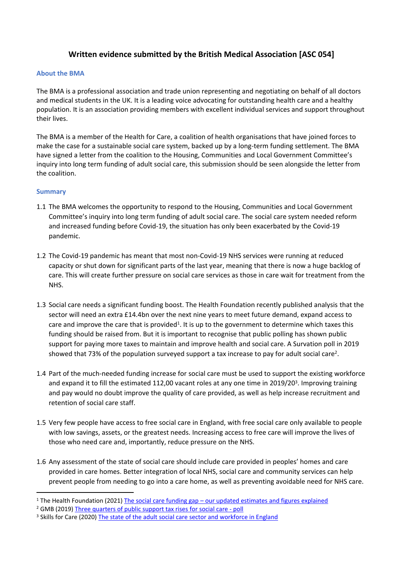# **Written evidence submitted by the British Medical Association [ASC 054]**

#### **About the BMA**

The BMA is a professional association and trade union representing and negotiating on behalf of all doctors and medical students in the UK. It is a leading voice advocating for outstanding health care and a healthy population. It is an association providing members with excellent individual services and support throughout their lives.

The BMA is a member of the Health for Care, a coalition of health organisations that have joined forces to make the case for a sustainable social care system, backed up by a long-term funding settlement. The BMA have signed a letter from the coalition to the Housing, Communities and Local Government Committee's inquiry into long term funding of adult social care, this submission should be seen alongside the letter from the coalition.

## **Summary**

- 1.1 The BMA welcomes the opportunity to respond to the Housing, Communities and Local Government Committee's inquiry into long term funding of adult social care. The social care system needed reform and increased funding before Covid-19, the situation has only been exacerbated by the Covid-19 pandemic.
- 1.2 The Covid-19 pandemic has meant that most non-Covid-19 NHS services were running at reduced capacity or shut down for significant parts of the last year, meaning that there is now a huge backlog of care. This will create further pressure on social care services as those in care wait for treatment from the NHS.
- 1.3 Social care needs a significant funding boost. The Health Foundation recently published analysis that the sector will need an extra £14.4bn over the next nine years to meet future demand, expand access to care and improve the care that is provided<sup>1</sup>. It is up to the government to determine which taxes this funding should be raised from. But it is important to recognise that public polling has shown public support for paying more taxes to maintain and improve health and social care. A Survation poll in 2019 showed that 73% of the population surveyed support a tax increase to pay for adult social care<sup>2</sup>.
- 1.4 Part of the much-needed funding increase for social care must be used to support the existing workforce and expand it to fill the estimated 112,00 vacant roles at any one time in 2019/20<sup>3</sup>. Improving training and pay would no doubt improve the quality of care provided, as well as help increase recruitment and retention of social care staff.
- 1.5 Very few people have access to free social care in England, with free social care only available to people with low savings, assets, or the greatest needs. Increasing access to free care will improve the lives of those who need care and, importantly, reduce pressure on the NHS.
- 1.6 Any assessment of the state of social care should include care provided in peoples' homes and care provided in care homes. Better integration of local NHS, social care and community services can help prevent people from needing to go into a care home, as well as preventing avoidable need for NHS care.

<sup>&</sup>lt;sup>1</sup> [The](https://www.health.org.uk/news-and-comment/charts-and-infographics/REAL-social-care-funding-gap) Health Foundation (2021) The [social](https://www.health.org.uk/news-and-comment/charts-and-infographics/REAL-social-care-funding-gap) [care](https://www.health.org.uk/news-and-comment/charts-and-infographics/REAL-social-care-funding-gap) [funding](https://www.health.org.uk/news-and-comment/charts-and-infographics/REAL-social-care-funding-gap) [gap](https://www.health.org.uk/news-and-comment/charts-and-infographics/REAL-social-care-funding-gap) [–](https://www.health.org.uk/news-and-comment/charts-and-infographics/REAL-social-care-funding-gap) [our](https://www.health.org.uk/news-and-comment/charts-and-infographics/REAL-social-care-funding-gap) [updated](https://www.health.org.uk/news-and-comment/charts-and-infographics/REAL-social-care-funding-gap) [estimates](https://www.health.org.uk/news-and-comment/charts-and-infographics/REAL-social-care-funding-gap) [and](https://www.health.org.uk/news-and-comment/charts-and-infographics/REAL-social-care-funding-gap) [figures](https://www.health.org.uk/news-and-comment/charts-and-infographics/REAL-social-care-funding-gap) [explained](https://www.health.org.uk/news-and-comment/charts-and-infographics/REAL-social-care-funding-gap)

<sup>2</sup> GMB (2019) [Three](https://www.gmb.org.uk/news/three-quarters-public-support-tax-rises-social-care-poll) [quarters](https://www.gmb.org.uk/news/three-quarters-public-support-tax-rises-social-care-poll) [of](https://www.gmb.org.uk/news/three-quarters-public-support-tax-rises-social-care-poll) [public](https://www.gmb.org.uk/news/three-quarters-public-support-tax-rises-social-care-poll) [support](https://www.gmb.org.uk/news/three-quarters-public-support-tax-rises-social-care-poll) [tax](https://www.gmb.org.uk/news/three-quarters-public-support-tax-rises-social-care-poll) [rises](https://www.gmb.org.uk/news/three-quarters-public-support-tax-rises-social-care-poll) [for](https://www.gmb.org.uk/news/three-quarters-public-support-tax-rises-social-care-poll) [social](https://www.gmb.org.uk/news/three-quarters-public-support-tax-rises-social-care-poll) [care](https://www.gmb.org.uk/news/three-quarters-public-support-tax-rises-social-care-poll) [-](https://www.gmb.org.uk/news/three-quarters-public-support-tax-rises-social-care-poll) [poll](https://www.gmb.org.uk/news/three-quarters-public-support-tax-rises-social-care-poll)

<sup>&</sup>lt;sup>3</sup> Skills for Care (2020) [The](https://www.skillsforcare.org.uk/adult-social-care-workforce-data/Workforce-intelligence/documents/State-of-the-adult-social-care-sector/The-state-of-the-adult-social-care-sector-and-workforce-2020.pdf) [state](https://www.skillsforcare.org.uk/adult-social-care-workforce-data/Workforce-intelligence/documents/State-of-the-adult-social-care-sector/The-state-of-the-adult-social-care-sector-and-workforce-2020.pdf) [of](https://www.skillsforcare.org.uk/adult-social-care-workforce-data/Workforce-intelligence/documents/State-of-the-adult-social-care-sector/The-state-of-the-adult-social-care-sector-and-workforce-2020.pdf) [the](https://www.skillsforcare.org.uk/adult-social-care-workforce-data/Workforce-intelligence/documents/State-of-the-adult-social-care-sector/The-state-of-the-adult-social-care-sector-and-workforce-2020.pdf) [adult](https://www.skillsforcare.org.uk/adult-social-care-workforce-data/Workforce-intelligence/documents/State-of-the-adult-social-care-sector/The-state-of-the-adult-social-care-sector-and-workforce-2020.pdf) [social](https://www.skillsforcare.org.uk/adult-social-care-workforce-data/Workforce-intelligence/documents/State-of-the-adult-social-care-sector/The-state-of-the-adult-social-care-sector-and-workforce-2020.pdf) [care](https://www.skillsforcare.org.uk/adult-social-care-workforce-data/Workforce-intelligence/documents/State-of-the-adult-social-care-sector/The-state-of-the-adult-social-care-sector-and-workforce-2020.pdf) [sector](https://www.skillsforcare.org.uk/adult-social-care-workforce-data/Workforce-intelligence/documents/State-of-the-adult-social-care-sector/The-state-of-the-adult-social-care-sector-and-workforce-2020.pdf) [and](https://www.skillsforcare.org.uk/adult-social-care-workforce-data/Workforce-intelligence/documents/State-of-the-adult-social-care-sector/The-state-of-the-adult-social-care-sector-and-workforce-2020.pdf) [workforce](https://www.skillsforcare.org.uk/adult-social-care-workforce-data/Workforce-intelligence/documents/State-of-the-adult-social-care-sector/The-state-of-the-adult-social-care-sector-and-workforce-2020.pdf) [in](https://www.skillsforcare.org.uk/adult-social-care-workforce-data/Workforce-intelligence/documents/State-of-the-adult-social-care-sector/The-state-of-the-adult-social-care-sector-and-workforce-2020.pdf) [England](https://www.skillsforcare.org.uk/adult-social-care-workforce-data/Workforce-intelligence/documents/State-of-the-adult-social-care-sector/The-state-of-the-adult-social-care-sector-and-workforce-2020.pdf)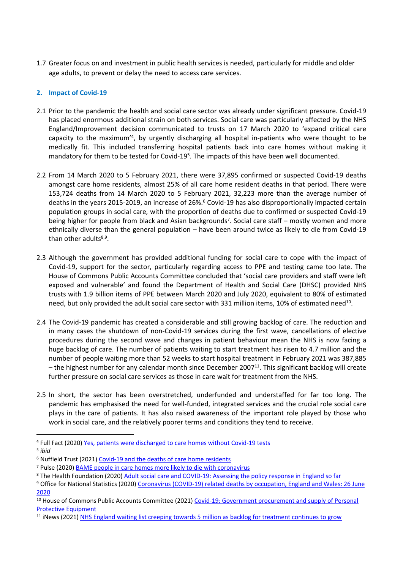1.7 Greater focus on and investment in public health services is needed, particularly for middle and older age adults, to prevent or delay the need to access care services.

# **2. Impact of Covid-19**

- 2.1 Prior to the pandemic the health and social care sector was already under significant pressure. Covid-19 has placed enormous additional strain on both services. Social care was particularly affected by the NHS England/Improvement decision communicated to trusts on 17 March 2020 to 'expand critical care capacity to the maximum<sup>'4</sup>, by urgently discharging all hospital in-patients who were thought to be medically fit. This included transferring hospital patients back into care homes without making it mandatory for them to be tested for Covid-19<sup>5</sup>. The impacts of this have been well documented.
- 2.2 From 14 March 2020 to 5 February 2021, there were 37,895 confirmed or suspected Covid-19 deaths amongst care home residents, almost 25% of all care home resident deaths in that period. There were 153,724 deaths from 14 March 2020 to 5 February 2021, 32,223 more than the average number of deaths in the years 2015-2019, an increase of 26%.<sup>6</sup> Covid-19 has also disproportionally impacted certain population groups in social care, with the proportion of deaths due to confirmed or suspected Covid-19 being higher for people from black and Asian backgrounds<sup>7</sup>. Social care staff - mostly women and more ethnically diverse than the general population – have been around twice as likely to die from Covid-19 than other adults<sup>8,9</sup>.
- 2.3 Although the government has provided additional funding for social care to cope with the impact of Covid-19, support for the sector, particularly regarding access to PPE and testing came too late. The House of Commons Public Accounts Committee concluded that 'social care providers and staff were left exposed and vulnerable' and found the Department of Health and Social Care (DHSC) provided NHS trusts with 1.9 billion items of PPE between March 2020 and July 2020, equivalent to 80% of estimated need, but only provided the adult social care sector with 331 million items, 10% of estimated need<sup>10</sup>.
- 2.4 The Covid-19 pandemic has created a considerable and still growing backlog of care. The reduction and in many cases the shutdown of non-Covid-19 services during the first wave, cancellations of elective procedures during the second wave and changes in patient behaviour mean the NHS is now facing a huge backlog of care. The number of patients waiting to start treatment has risen to 4.7 million and the number of people waiting more than 52 weeks to start hospital treatment in February 2021 was 387,885 - the highest number for any calendar month since December 2007<sup>11</sup>. This significant backlog will create further pressure on social care services as those in care wait for treatment from the NHS.
- 2.5 In short, the sector has been overstretched, underfunded and understaffed for far too long. The pandemic has emphasised the need for well-funded, integrated services and the crucial role social care plays in the care of patients. It has also raised awareness of the important role played by those who work in social care, and the relatively poorer terms and conditions they tend to receive.

<sup>4</sup> Full Fact (2020) [Yes,](https://fullfact.org/health/coronavirus-care-homes-discharge/) [patients](https://fullfact.org/health/coronavirus-care-homes-discharge/) [were](https://fullfact.org/health/coronavirus-care-homes-discharge/) [discharged](https://fullfact.org/health/coronavirus-care-homes-discharge/) [to](https://fullfact.org/health/coronavirus-care-homes-discharge/) [care](https://fullfact.org/health/coronavirus-care-homes-discharge/) [homes](https://fullfact.org/health/coronavirus-care-homes-discharge/) [without](https://fullfact.org/health/coronavirus-care-homes-discharge/) [Covid-19](https://fullfact.org/health/coronavirus-care-homes-discharge/) [tests](https://fullfact.org/health/coronavirus-care-homes-discharge/) 5 *ibid*

<sup>6</sup> Nuffield Trust (2021) [Covid-19](https://www.nuffieldtrust.org.uk/news-item/covid-19-and-the-deaths-of-care-home-residents) [and](https://www.nuffieldtrust.org.uk/news-item/covid-19-and-the-deaths-of-care-home-residents) [the](https://www.nuffieldtrust.org.uk/news-item/covid-19-and-the-deaths-of-care-home-residents) [deaths](https://www.nuffieldtrust.org.uk/news-item/covid-19-and-the-deaths-of-care-home-residents) [of](https://www.nuffieldtrust.org.uk/news-item/covid-19-and-the-deaths-of-care-home-residents) [care](https://www.nuffieldtrust.org.uk/news-item/covid-19-and-the-deaths-of-care-home-residents) [home](https://www.nuffieldtrust.org.uk/news-item/covid-19-and-the-deaths-of-care-home-residents) [residents](https://www.nuffieldtrust.org.uk/news-item/covid-19-and-the-deaths-of-care-home-residents)

<sup>7</sup> Pulse (2020) [BAME](https://www.pulsetoday.co.uk/news/clinical-areas/elderly-care/bame-people-in-care-homes-more-likely-to-die-with-coronavirus/) [people](https://www.pulsetoday.co.uk/news/clinical-areas/elderly-care/bame-people-in-care-homes-more-likely-to-die-with-coronavirus/) [in](https://www.pulsetoday.co.uk/news/clinical-areas/elderly-care/bame-people-in-care-homes-more-likely-to-die-with-coronavirus/) [care](https://www.pulsetoday.co.uk/news/clinical-areas/elderly-care/bame-people-in-care-homes-more-likely-to-die-with-coronavirus/) [homes](https://www.pulsetoday.co.uk/news/clinical-areas/elderly-care/bame-people-in-care-homes-more-likely-to-die-with-coronavirus/) [more](https://www.pulsetoday.co.uk/news/clinical-areas/elderly-care/bame-people-in-care-homes-more-likely-to-die-with-coronavirus/) [likely](https://www.pulsetoday.co.uk/news/clinical-areas/elderly-care/bame-people-in-care-homes-more-likely-to-die-with-coronavirus/) [to](https://www.pulsetoday.co.uk/news/clinical-areas/elderly-care/bame-people-in-care-homes-more-likely-to-die-with-coronavirus/) [die](https://www.pulsetoday.co.uk/news/clinical-areas/elderly-care/bame-people-in-care-homes-more-likely-to-die-with-coronavirus/) [with](https://www.pulsetoday.co.uk/news/clinical-areas/elderly-care/bame-people-in-care-homes-more-likely-to-die-with-coronavirus/) [coronavirus](https://www.pulsetoday.co.uk/news/clinical-areas/elderly-care/bame-people-in-care-homes-more-likely-to-die-with-coronavirus/)

<sup>8</sup> The Health Foundation (2020) [Adult](https://www.health.org.uk/publications/reports/adult-social-care-and-covid-19-assessing-the-policy-response-in-england) [social](https://www.health.org.uk/publications/reports/adult-social-care-and-covid-19-assessing-the-policy-response-in-england) [care](https://www.health.org.uk/publications/reports/adult-social-care-and-covid-19-assessing-the-policy-response-in-england) [and](https://www.health.org.uk/publications/reports/adult-social-care-and-covid-19-assessing-the-policy-response-in-england) [COVID-19:](https://www.health.org.uk/publications/reports/adult-social-care-and-covid-19-assessing-the-policy-response-in-england) [Assessing](https://www.health.org.uk/publications/reports/adult-social-care-and-covid-19-assessing-the-policy-response-in-england) [the](https://www.health.org.uk/publications/reports/adult-social-care-and-covid-19-assessing-the-policy-response-in-england) [policy](https://www.health.org.uk/publications/reports/adult-social-care-and-covid-19-assessing-the-policy-response-in-england) [response](https://www.health.org.uk/publications/reports/adult-social-care-and-covid-19-assessing-the-policy-response-in-england) [in](https://www.health.org.uk/publications/reports/adult-social-care-and-covid-19-assessing-the-policy-response-in-england) [England](https://www.health.org.uk/publications/reports/adult-social-care-and-covid-19-assessing-the-policy-response-in-england) [so](https://www.health.org.uk/publications/reports/adult-social-care-and-covid-19-assessing-the-policy-response-in-england) [far](https://www.health.org.uk/publications/reports/adult-social-care-and-covid-19-assessing-the-policy-response-in-england)

<sup>&</sup>lt;sup>9</sup> Office for National Statistics (2020) [Coronavirus](https://www.ons.gov.uk/peoplepopulationandcommunity/healthandsocialcare/causesofdeath/bulletins/coronaviruscovid19relateddeathsbyoccupationenglandandwales/deathsregisteredbetween9marchand25may2020) [\(COVID-19\)](https://www.ons.gov.uk/peoplepopulationandcommunity/healthandsocialcare/causesofdeath/bulletins/coronaviruscovid19relateddeathsbyoccupationenglandandwales/deathsregisteredbetween9marchand25may2020) [related](https://www.ons.gov.uk/peoplepopulationandcommunity/healthandsocialcare/causesofdeath/bulletins/coronaviruscovid19relateddeathsbyoccupationenglandandwales/deathsregisteredbetween9marchand25may2020) [deaths](https://www.ons.gov.uk/peoplepopulationandcommunity/healthandsocialcare/causesofdeath/bulletins/coronaviruscovid19relateddeathsbyoccupationenglandandwales/deathsregisteredbetween9marchand25may2020) [by](https://www.ons.gov.uk/peoplepopulationandcommunity/healthandsocialcare/causesofdeath/bulletins/coronaviruscovid19relateddeathsbyoccupationenglandandwales/deathsregisteredbetween9marchand25may2020) [occupation,](https://www.ons.gov.uk/peoplepopulationandcommunity/healthandsocialcare/causesofdeath/bulletins/coronaviruscovid19relateddeathsbyoccupationenglandandwales/deathsregisteredbetween9marchand25may2020) [England](https://www.ons.gov.uk/peoplepopulationandcommunity/healthandsocialcare/causesofdeath/bulletins/coronaviruscovid19relateddeathsbyoccupationenglandandwales/deathsregisteredbetween9marchand25may2020) [and](https://www.ons.gov.uk/peoplepopulationandcommunity/healthandsocialcare/causesofdeath/bulletins/coronaviruscovid19relateddeathsbyoccupationenglandandwales/deathsregisteredbetween9marchand25may2020) [Wales:](https://www.ons.gov.uk/peoplepopulationandcommunity/healthandsocialcare/causesofdeath/bulletins/coronaviruscovid19relateddeathsbyoccupationenglandandwales/deathsregisteredbetween9marchand25may2020) [26](https://www.ons.gov.uk/peoplepopulationandcommunity/healthandsocialcare/causesofdeath/bulletins/coronaviruscovid19relateddeathsbyoccupationenglandandwales/deathsregisteredbetween9marchand25may2020) [June](https://www.ons.gov.uk/peoplepopulationandcommunity/healthandsocialcare/causesofdeath/bulletins/coronaviruscovid19relateddeathsbyoccupationenglandandwales/deathsregisteredbetween9marchand25may2020) [2020](https://www.ons.gov.uk/peoplepopulationandcommunity/healthandsocialcare/causesofdeath/bulletins/coronaviruscovid19relateddeathsbyoccupationenglandandwales/deathsregisteredbetween9marchand25may2020)

<sup>10</sup> House of Commons Public Accounts Committee (2021) [Covid-19:](https://committees.parliament.uk/publications/4607/documents/46709/default/) [Government](https://committees.parliament.uk/publications/4607/documents/46709/default/) [procurement](https://committees.parliament.uk/publications/4607/documents/46709/default/) [and](https://committees.parliament.uk/publications/4607/documents/46709/default/) [supply](https://committees.parliament.uk/publications/4607/documents/46709/default/) [of](https://committees.parliament.uk/publications/4607/documents/46709/default/) [Personal](https://committees.parliament.uk/publications/4607/documents/46709/default/) [Protective](https://committees.parliament.uk/publications/4607/documents/46709/default/) [Equipment](https://committees.parliament.uk/publications/4607/documents/46709/default/)

<sup>&</sup>lt;sup>11</sup> iNews (2021) [NHS](https://inews.co.uk/nhs/nhs-england-waiting-list-5-million-backlog-treatment-grow-957805) [England](https://inews.co.uk/nhs/nhs-england-waiting-list-5-million-backlog-treatment-grow-957805) [waiting](https://inews.co.uk/nhs/nhs-england-waiting-list-5-million-backlog-treatment-grow-957805) [list](https://inews.co.uk/nhs/nhs-england-waiting-list-5-million-backlog-treatment-grow-957805) [creeping](https://inews.co.uk/nhs/nhs-england-waiting-list-5-million-backlog-treatment-grow-957805) [towards](https://inews.co.uk/nhs/nhs-england-waiting-list-5-million-backlog-treatment-grow-957805) [5](https://inews.co.uk/nhs/nhs-england-waiting-list-5-million-backlog-treatment-grow-957805) [million](https://inews.co.uk/nhs/nhs-england-waiting-list-5-million-backlog-treatment-grow-957805) [as](https://inews.co.uk/nhs/nhs-england-waiting-list-5-million-backlog-treatment-grow-957805) [backlog](https://inews.co.uk/nhs/nhs-england-waiting-list-5-million-backlog-treatment-grow-957805) [for](https://inews.co.uk/nhs/nhs-england-waiting-list-5-million-backlog-treatment-grow-957805) [treatment](https://inews.co.uk/nhs/nhs-england-waiting-list-5-million-backlog-treatment-grow-957805) [continues](https://inews.co.uk/nhs/nhs-england-waiting-list-5-million-backlog-treatment-grow-957805) [to](https://inews.co.uk/nhs/nhs-england-waiting-list-5-million-backlog-treatment-grow-957805) [grow](https://inews.co.uk/nhs/nhs-england-waiting-list-5-million-backlog-treatment-grow-957805)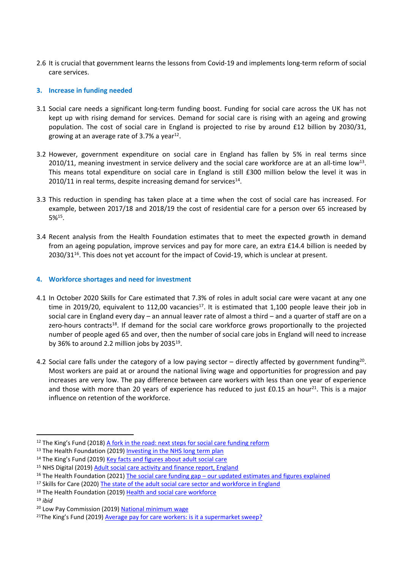2.6 It is crucial that government learns the lessons from Covid-19 and implements long-term reform of social care services.

## **3. Increase in funding needed**

- 3.1 Social care needs a significant long-term funding boost. Funding for social care across the UK has not kept up with rising demand for services. Demand for social care is rising with an ageing and growing population. The cost of social care in England is projected to rise by around £12 billion by 2030/31, growing at an average rate of 3.7% a year<sup>12</sup>.
- 3.2 However, government expenditure on social care in England has fallen by 5% in real terms since 2010/11, meaning investment in service delivery and the social care workforce are at an all-time low<sup>13</sup>. This means total expenditure on social care in England is still £300 million below the level it was in  $2010/11$  in real terms, despite increasing demand for services<sup>14</sup>.
- 3.3 This reduction in spending has taken place at a time when the cost of social care has increased. For example, between 2017/18 and 2018/19 the cost of residential care for a person over 65 increased by  $5\%$ <sup>15</sup>.
- 3.4 Recent analysis from the Health Foundation estimates that to meet the expected growth in demand from an ageing population, improve services and pay for more care, an extra £14.4 billion is needed by 2030/31<sup>16</sup>. This does not yet account for the impact of Covid-19, which is unclear at present.

## **4. Workforce shortages and need for investment**

- 4.1 In October 2020 Skills for Care estimated that 7.3% of roles in adult social care were vacant at any one time in 2019/20, equivalent to 112,00 vacancies<sup>17</sup>. It is estimated that 1,100 people leave their job in social care in England every day – an annual leaver rate of almost a third – and a quarter of staff are on a zero-hours contracts<sup>18</sup>. If demand for the social care workforce grows proportionally to the projected number of people aged 65 and over, then the number of social care jobs in England will need to increase by 36% to around 2.2 million jobs by 2035 $^{19}$ .
- 4.2 Social care falls under the category of a low paying sector  $-$  directly affected by government funding<sup>20</sup>. Most workers are paid at or around the national living wage and opportunities for progression and pay increases are very low. The pay difference between care workers with less than one year of experience and those with more than 20 years of experience has reduced to just £0.15 an hour<sup>21</sup>. This is a major influence on retention of the workforce.

 $12$  The King's Fund (2018) [A](https://www.kingsfund.org.uk/publications/fork-road-social-care-funding-reform) [fork](https://www.kingsfund.org.uk/publications/fork-road-social-care-funding-reform) [in](https://www.kingsfund.org.uk/publications/fork-road-social-care-funding-reform) [the](https://www.kingsfund.org.uk/publications/fork-road-social-care-funding-reform) [road:](https://www.kingsfund.org.uk/publications/fork-road-social-care-funding-reform) [next](https://www.kingsfund.org.uk/publications/fork-road-social-care-funding-reform) [steps](https://www.kingsfund.org.uk/publications/fork-road-social-care-funding-reform) [for](https://www.kingsfund.org.uk/publications/fork-road-social-care-funding-reform) [social](https://www.kingsfund.org.uk/publications/fork-road-social-care-funding-reform) [care](https://www.kingsfund.org.uk/publications/fork-road-social-care-funding-reform) [funding](https://www.kingsfund.org.uk/publications/fork-road-social-care-funding-reform) [reform](https://www.kingsfund.org.uk/publications/fork-road-social-care-funding-reform)

<sup>&</sup>lt;sup>13</sup> The Health Foundation (2019) [Investing](https://www.health.org.uk/sites/default/files/upload/publications/2019/S08_Investing%20in%20The%20NHS%20long%20term%20plan_WEB_0.pdf) [in](https://www.health.org.uk/sites/default/files/upload/publications/2019/S08_Investing%20in%20The%20NHS%20long%20term%20plan_WEB_0.pdf) [the](https://www.health.org.uk/sites/default/files/upload/publications/2019/S08_Investing%20in%20The%20NHS%20long%20term%20plan_WEB_0.pdf) [NHS](https://www.health.org.uk/sites/default/files/upload/publications/2019/S08_Investing%20in%20The%20NHS%20long%20term%20plan_WEB_0.pdf) [long](https://www.health.org.uk/sites/default/files/upload/publications/2019/S08_Investing%20in%20The%20NHS%20long%20term%20plan_WEB_0.pdf) [term](https://www.health.org.uk/sites/default/files/upload/publications/2019/S08_Investing%20in%20The%20NHS%20long%20term%20plan_WEB_0.pdf) [plan](https://www.health.org.uk/sites/default/files/upload/publications/2019/S08_Investing%20in%20The%20NHS%20long%20term%20plan_WEB_0.pdf)

<sup>14</sup> The King's Fund (2019) [Key](https://www.kingsfund.org.uk/audio-video/key-facts-figures-adult-social-care) [facts](https://www.kingsfund.org.uk/audio-video/key-facts-figures-adult-social-care) [and](https://www.kingsfund.org.uk/audio-video/key-facts-figures-adult-social-care) [figures](https://www.kingsfund.org.uk/audio-video/key-facts-figures-adult-social-care) [about](https://www.kingsfund.org.uk/audio-video/key-facts-figures-adult-social-care) [adult](https://www.kingsfund.org.uk/audio-video/key-facts-figures-adult-social-care) [social](https://www.kingsfund.org.uk/audio-video/key-facts-figures-adult-social-care) [care](https://www.kingsfund.org.uk/audio-video/key-facts-figures-adult-social-care)

<sup>&</sup>lt;sup>15</sup> NHS Digital (2019) [Adult](https://digital.nhs.uk/data-and-information/publications/statistical/adult-social-care-activity-and-finance-report/2018-19/1.-activity-and-finance-overview) [social](https://digital.nhs.uk/data-and-information/publications/statistical/adult-social-care-activity-and-finance-report/2018-19/1.-activity-and-finance-overview) [care](https://digital.nhs.uk/data-and-information/publications/statistical/adult-social-care-activity-and-finance-report/2018-19/1.-activity-and-finance-overview) [activity](https://digital.nhs.uk/data-and-information/publications/statistical/adult-social-care-activity-and-finance-report/2018-19/1.-activity-and-finance-overview) [and](https://digital.nhs.uk/data-and-information/publications/statistical/adult-social-care-activity-and-finance-report/2018-19/1.-activity-and-finance-overview) [finance](https://digital.nhs.uk/data-and-information/publications/statistical/adult-social-care-activity-and-finance-report/2018-19/1.-activity-and-finance-overview) [report,](https://digital.nhs.uk/data-and-information/publications/statistical/adult-social-care-activity-and-finance-report/2018-19/1.-activity-and-finance-overview) [England](https://digital.nhs.uk/data-and-information/publications/statistical/adult-social-care-activity-and-finance-report/2018-19/1.-activity-and-finance-overview)

<sup>&</sup>lt;sup>16</sup> [The](https://www.health.org.uk/news-and-comment/charts-and-infographics/REAL-social-care-funding-gap) Health Foundation (2021) The [social](https://www.health.org.uk/news-and-comment/charts-and-infographics/REAL-social-care-funding-gap) [care](https://www.health.org.uk/news-and-comment/charts-and-infographics/REAL-social-care-funding-gap) [funding](https://www.health.org.uk/news-and-comment/charts-and-infographics/REAL-social-care-funding-gap) [gap](https://www.health.org.uk/news-and-comment/charts-and-infographics/REAL-social-care-funding-gap) [–](https://www.health.org.uk/news-and-comment/charts-and-infographics/REAL-social-care-funding-gap) [our](https://www.health.org.uk/news-and-comment/charts-and-infographics/REAL-social-care-funding-gap) [updated](https://www.health.org.uk/news-and-comment/charts-and-infographics/REAL-social-care-funding-gap) [estimates](https://www.health.org.uk/news-and-comment/charts-and-infographics/REAL-social-care-funding-gap) [and](https://www.health.org.uk/news-and-comment/charts-and-infographics/REAL-social-care-funding-gap) [figures](https://www.health.org.uk/news-and-comment/charts-and-infographics/REAL-social-care-funding-gap) [explained](https://www.health.org.uk/news-and-comment/charts-and-infographics/REAL-social-care-funding-gap)

<sup>&</sup>lt;sup>17</sup> Skills for Care (2020) [The](https://www.skillsforcare.org.uk/adult-social-care-workforce-data/Workforce-intelligence/documents/State-of-the-adult-social-care-sector/The-state-of-the-adult-social-care-sector-and-workforce-2020.pdf) [state](https://www.skillsforcare.org.uk/adult-social-care-workforce-data/Workforce-intelligence/documents/State-of-the-adult-social-care-sector/The-state-of-the-adult-social-care-sector-and-workforce-2020.pdf) [of](https://www.skillsforcare.org.uk/adult-social-care-workforce-data/Workforce-intelligence/documents/State-of-the-adult-social-care-sector/The-state-of-the-adult-social-care-sector-and-workforce-2020.pdf) [the](https://www.skillsforcare.org.uk/adult-social-care-workforce-data/Workforce-intelligence/documents/State-of-the-adult-social-care-sector/The-state-of-the-adult-social-care-sector-and-workforce-2020.pdf) [adult](https://www.skillsforcare.org.uk/adult-social-care-workforce-data/Workforce-intelligence/documents/State-of-the-adult-social-care-sector/The-state-of-the-adult-social-care-sector-and-workforce-2020.pdf) [social](https://www.skillsforcare.org.uk/adult-social-care-workforce-data/Workforce-intelligence/documents/State-of-the-adult-social-care-sector/The-state-of-the-adult-social-care-sector-and-workforce-2020.pdf) [care](https://www.skillsforcare.org.uk/adult-social-care-workforce-data/Workforce-intelligence/documents/State-of-the-adult-social-care-sector/The-state-of-the-adult-social-care-sector-and-workforce-2020.pdf) [sector](https://www.skillsforcare.org.uk/adult-social-care-workforce-data/Workforce-intelligence/documents/State-of-the-adult-social-care-sector/The-state-of-the-adult-social-care-sector-and-workforce-2020.pdf) [and](https://www.skillsforcare.org.uk/adult-social-care-workforce-data/Workforce-intelligence/documents/State-of-the-adult-social-care-sector/The-state-of-the-adult-social-care-sector-and-workforce-2020.pdf) [workforce](https://www.skillsforcare.org.uk/adult-social-care-workforce-data/Workforce-intelligence/documents/State-of-the-adult-social-care-sector/The-state-of-the-adult-social-care-sector-and-workforce-2020.pdf) [in](https://www.skillsforcare.org.uk/adult-social-care-workforce-data/Workforce-intelligence/documents/State-of-the-adult-social-care-sector/The-state-of-the-adult-social-care-sector-and-workforce-2020.pdf) [England](https://www.skillsforcare.org.uk/adult-social-care-workforce-data/Workforce-intelligence/documents/State-of-the-adult-social-care-sector/The-state-of-the-adult-social-care-sector-and-workforce-2020.pdf)

<sup>18</sup> The [Health](https://www.health.org.uk/sites/default/files/2019-11/GE04-Health%20and%20social%20care%20workforce.pdf) Foundation (2019) Health [and](https://www.health.org.uk/sites/default/files/2019-11/GE04-Health%20and%20social%20care%20workforce.pdf) [social](https://www.health.org.uk/sites/default/files/2019-11/GE04-Health%20and%20social%20care%20workforce.pdf) [care](https://www.health.org.uk/sites/default/files/2019-11/GE04-Health%20and%20social%20care%20workforce.pdf) [workforce](https://www.health.org.uk/sites/default/files/2019-11/GE04-Health%20and%20social%20care%20workforce.pdf)

<sup>19</sup> *ibid*

<sup>20</sup> Low Pay Commission (2019) [National](https://assets.publishing.service.gov.uk/government/uploads/system/uploads/attachment_data/file/856590/LPC_Report_2019.pdf) [minimum](https://assets.publishing.service.gov.uk/government/uploads/system/uploads/attachment_data/file/856590/LPC_Report_2019.pdf) [wage](https://assets.publishing.service.gov.uk/government/uploads/system/uploads/attachment_data/file/856590/LPC_Report_2019.pdf)

<sup>&</sup>lt;sup>21</sup>The King's Fund (2019) [Average](https://www.kingsfund.org.uk/blog/2019/08/average-pay-for-care-workers) [pay](https://www.kingsfund.org.uk/blog/2019/08/average-pay-for-care-workers) [for](https://www.kingsfund.org.uk/blog/2019/08/average-pay-for-care-workers) [care](https://www.kingsfund.org.uk/blog/2019/08/average-pay-for-care-workers) [workers:](https://www.kingsfund.org.uk/blog/2019/08/average-pay-for-care-workers) [is](https://www.kingsfund.org.uk/blog/2019/08/average-pay-for-care-workers) [it](https://www.kingsfund.org.uk/blog/2019/08/average-pay-for-care-workers) [a](https://www.kingsfund.org.uk/blog/2019/08/average-pay-for-care-workers) [supermarket](https://www.kingsfund.org.uk/blog/2019/08/average-pay-for-care-workers) [sweep?](https://www.kingsfund.org.uk/blog/2019/08/average-pay-for-care-workers)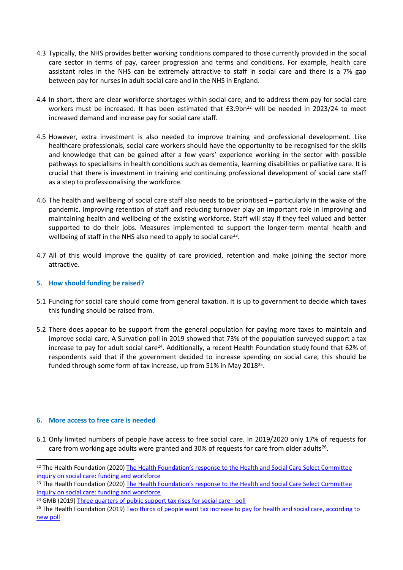- 4.3 Typically, the NHS provides better working conditions compared to those currently provided in the social care sector in terms of pay, career progression and terms and conditions. For example, health care assistant roles in the NHS can be extremely attractive to staff in social care and there is a 7% gap between pay for nurses in adult social care and in the NHS in England.
- 4.4 In short, there are clear workforce shortages within social care, and to address them pay for social care workers must be increased. It has been estimated that £3.9bn<sup>22</sup> will be needed in 2023/24 to meet increased demand and increase pay for social care staff.
- 4.5 However, extra investment is also needed to improve training and professional development. Like healthcare professionals, social care workers should have the opportunity to be recognised for the skills and knowledge that can be gained after a few years' experience working in the sector with possible pathways to specialisms in health conditions such as dementia, learning disabilities or palliative care. It is crucial that there is investment in training and continuing professional development of social care staff as a step to professionalising the workforce.
- 4.6 The health and wellbeing of social care staff also needs to be prioritised particularly in the wake of the pandemic. Improving retention of staff and reducing turnover play an important role in improving and maintaining health and wellbeing of the existing workforce. Staff will stay if they feel valued and better supported to do their jobs. Measures implemented to support the longer-term mental health and wellbeing of staff in the NHS also need to apply to social care<sup>23</sup>.
- 4.7 All of this would improve the quality of care provided, retention and make joining the sector more attractive.

## **5. How should funding be raised?**

- 5.1 Funding for social care should come from general taxation. It is up to government to decide which taxes this funding should be raised from.
- 5.2 There does appear to be support from the general population for paying more taxes to maintain and improve social care. A Survation poll in 2019 showed that 73% of the population surveyed support a tax increase to pay for adult social care<sup>24</sup>. Additionally, a recent Health Foundation study found that 62% of respondents said that if the government decided to increase spending on social care, this should be funded through some form of tax increase, up from 51% in May 2018<sup>25</sup>.

#### **6. More access to free care is needed**

6.1 Only limited numbers of people have access to free social care. In 2019/2020 only 17% of requests for care from working age adults were granted and 30% of requests for care from older adults<sup>26</sup>.

<sup>&</sup>lt;sup>22</sup> [The](https://www.health.org.uk/sites/default/files/2020-06/Health-Foundation-submission-to-HSC-social-care-funding-and-workforce-inquiry.pdf) [Health](https://www.health.org.uk/sites/default/files/2020-06/Health-Foundation-submission-to-HSC-social-care-funding-and-workforce-inquiry.pdf) Foundation (2020) The Health [Foundation's](https://www.health.org.uk/sites/default/files/2020-06/Health-Foundation-submission-to-HSC-social-care-funding-and-workforce-inquiry.pdf) [response](https://www.health.org.uk/sites/default/files/2020-06/Health-Foundation-submission-to-HSC-social-care-funding-and-workforce-inquiry.pdf) [to](https://www.health.org.uk/sites/default/files/2020-06/Health-Foundation-submission-to-HSC-social-care-funding-and-workforce-inquiry.pdf) [the](https://www.health.org.uk/sites/default/files/2020-06/Health-Foundation-submission-to-HSC-social-care-funding-and-workforce-inquiry.pdf) Health [and](https://www.health.org.uk/sites/default/files/2020-06/Health-Foundation-submission-to-HSC-social-care-funding-and-workforce-inquiry.pdf) [Social](https://www.health.org.uk/sites/default/files/2020-06/Health-Foundation-submission-to-HSC-social-care-funding-and-workforce-inquiry.pdf) [Care](https://www.health.org.uk/sites/default/files/2020-06/Health-Foundation-submission-to-HSC-social-care-funding-and-workforce-inquiry.pdf) [Select](https://www.health.org.uk/sites/default/files/2020-06/Health-Foundation-submission-to-HSC-social-care-funding-and-workforce-inquiry.pdf) [Committee](https://www.health.org.uk/sites/default/files/2020-06/Health-Foundation-submission-to-HSC-social-care-funding-and-workforce-inquiry.pdf) [inquiry](https://www.health.org.uk/sites/default/files/2020-06/Health-Foundation-submission-to-HSC-social-care-funding-and-workforce-inquiry.pdf) [on](https://www.health.org.uk/sites/default/files/2020-06/Health-Foundation-submission-to-HSC-social-care-funding-and-workforce-inquiry.pdf) [social](https://www.health.org.uk/sites/default/files/2020-06/Health-Foundation-submission-to-HSC-social-care-funding-and-workforce-inquiry.pdf) [care:](https://www.health.org.uk/sites/default/files/2020-06/Health-Foundation-submission-to-HSC-social-care-funding-and-workforce-inquiry.pdf) [funding](https://www.health.org.uk/sites/default/files/2020-06/Health-Foundation-submission-to-HSC-social-care-funding-and-workforce-inquiry.pdf) [and](https://www.health.org.uk/sites/default/files/2020-06/Health-Foundation-submission-to-HSC-social-care-funding-and-workforce-inquiry.pdf) [workforce](https://www.health.org.uk/sites/default/files/2020-06/Health-Foundation-submission-to-HSC-social-care-funding-and-workforce-inquiry.pdf)

<sup>&</sup>lt;sup>23</sup> [The](https://www.health.org.uk/sites/default/files/2020-06/Health-Foundation-submission-to-HSC-social-care-funding-and-workforce-inquiry.pdf) [Health](https://www.health.org.uk/sites/default/files/2020-06/Health-Foundation-submission-to-HSC-social-care-funding-and-workforce-inquiry.pdf) Foundation (2020) The Health [Foundation's](https://www.health.org.uk/sites/default/files/2020-06/Health-Foundation-submission-to-HSC-social-care-funding-and-workforce-inquiry.pdf) [response](https://www.health.org.uk/sites/default/files/2020-06/Health-Foundation-submission-to-HSC-social-care-funding-and-workforce-inquiry.pdf) [to](https://www.health.org.uk/sites/default/files/2020-06/Health-Foundation-submission-to-HSC-social-care-funding-and-workforce-inquiry.pdf) [the](https://www.health.org.uk/sites/default/files/2020-06/Health-Foundation-submission-to-HSC-social-care-funding-and-workforce-inquiry.pdf) Health [and](https://www.health.org.uk/sites/default/files/2020-06/Health-Foundation-submission-to-HSC-social-care-funding-and-workforce-inquiry.pdf) [Social](https://www.health.org.uk/sites/default/files/2020-06/Health-Foundation-submission-to-HSC-social-care-funding-and-workforce-inquiry.pdf) [Care](https://www.health.org.uk/sites/default/files/2020-06/Health-Foundation-submission-to-HSC-social-care-funding-and-workforce-inquiry.pdf) [Select](https://www.health.org.uk/sites/default/files/2020-06/Health-Foundation-submission-to-HSC-social-care-funding-and-workforce-inquiry.pdf) [Committee](https://www.health.org.uk/sites/default/files/2020-06/Health-Foundation-submission-to-HSC-social-care-funding-and-workforce-inquiry.pdf) [inquiry](https://www.health.org.uk/sites/default/files/2020-06/Health-Foundation-submission-to-HSC-social-care-funding-and-workforce-inquiry.pdf) [on](https://www.health.org.uk/sites/default/files/2020-06/Health-Foundation-submission-to-HSC-social-care-funding-and-workforce-inquiry.pdf) [social](https://www.health.org.uk/sites/default/files/2020-06/Health-Foundation-submission-to-HSC-social-care-funding-and-workforce-inquiry.pdf) [care:](https://www.health.org.uk/sites/default/files/2020-06/Health-Foundation-submission-to-HSC-social-care-funding-and-workforce-inquiry.pdf) [funding](https://www.health.org.uk/sites/default/files/2020-06/Health-Foundation-submission-to-HSC-social-care-funding-and-workforce-inquiry.pdf) [and](https://www.health.org.uk/sites/default/files/2020-06/Health-Foundation-submission-to-HSC-social-care-funding-and-workforce-inquiry.pdf) [workforce](https://www.health.org.uk/sites/default/files/2020-06/Health-Foundation-submission-to-HSC-social-care-funding-and-workforce-inquiry.pdf)

<sup>&</sup>lt;sup>24</sup> GMB (2019) [Three](https://www.gmb.org.uk/news/three-quarters-public-support-tax-rises-social-care-poll) [quarters](https://www.gmb.org.uk/news/three-quarters-public-support-tax-rises-social-care-poll) [of](https://www.gmb.org.uk/news/three-quarters-public-support-tax-rises-social-care-poll) [public](https://www.gmb.org.uk/news/three-quarters-public-support-tax-rises-social-care-poll) [support](https://www.gmb.org.uk/news/three-quarters-public-support-tax-rises-social-care-poll) [tax](https://www.gmb.org.uk/news/three-quarters-public-support-tax-rises-social-care-poll) [rises](https://www.gmb.org.uk/news/three-quarters-public-support-tax-rises-social-care-poll) [for](https://www.gmb.org.uk/news/three-quarters-public-support-tax-rises-social-care-poll) [social](https://www.gmb.org.uk/news/three-quarters-public-support-tax-rises-social-care-poll) [care](https://www.gmb.org.uk/news/three-quarters-public-support-tax-rises-social-care-poll) [-](https://www.gmb.org.uk/news/three-quarters-public-support-tax-rises-social-care-poll) [poll](https://www.gmb.org.uk/news/three-quarters-public-support-tax-rises-social-care-poll)

<sup>&</sup>lt;sup>25</sup> The Health Foundation (2019) [Two](https://www.health.org.uk/news-and-comment/news/two-thirds-of-people-want-tax-increase-to-pay-for-health-and-social-care) [thirds](https://www.health.org.uk/news-and-comment/news/two-thirds-of-people-want-tax-increase-to-pay-for-health-and-social-care) [of](https://www.health.org.uk/news-and-comment/news/two-thirds-of-people-want-tax-increase-to-pay-for-health-and-social-care) [people](https://www.health.org.uk/news-and-comment/news/two-thirds-of-people-want-tax-increase-to-pay-for-health-and-social-care) [want](https://www.health.org.uk/news-and-comment/news/two-thirds-of-people-want-tax-increase-to-pay-for-health-and-social-care) [tax](https://www.health.org.uk/news-and-comment/news/two-thirds-of-people-want-tax-increase-to-pay-for-health-and-social-care) [increase](https://www.health.org.uk/news-and-comment/news/two-thirds-of-people-want-tax-increase-to-pay-for-health-and-social-care) [to](https://www.health.org.uk/news-and-comment/news/two-thirds-of-people-want-tax-increase-to-pay-for-health-and-social-care) [pay](https://www.health.org.uk/news-and-comment/news/two-thirds-of-people-want-tax-increase-to-pay-for-health-and-social-care) [for](https://www.health.org.uk/news-and-comment/news/two-thirds-of-people-want-tax-increase-to-pay-for-health-and-social-care) [health](https://www.health.org.uk/news-and-comment/news/two-thirds-of-people-want-tax-increase-to-pay-for-health-and-social-care) [and](https://www.health.org.uk/news-and-comment/news/two-thirds-of-people-want-tax-increase-to-pay-for-health-and-social-care) [social](https://www.health.org.uk/news-and-comment/news/two-thirds-of-people-want-tax-increase-to-pay-for-health-and-social-care) [care,](https://www.health.org.uk/news-and-comment/news/two-thirds-of-people-want-tax-increase-to-pay-for-health-and-social-care) [according](https://www.health.org.uk/news-and-comment/news/two-thirds-of-people-want-tax-increase-to-pay-for-health-and-social-care) to [new](https://www.health.org.uk/news-and-comment/news/two-thirds-of-people-want-tax-increase-to-pay-for-health-and-social-care) [poll](https://www.health.org.uk/news-and-comment/news/two-thirds-of-people-want-tax-increase-to-pay-for-health-and-social-care)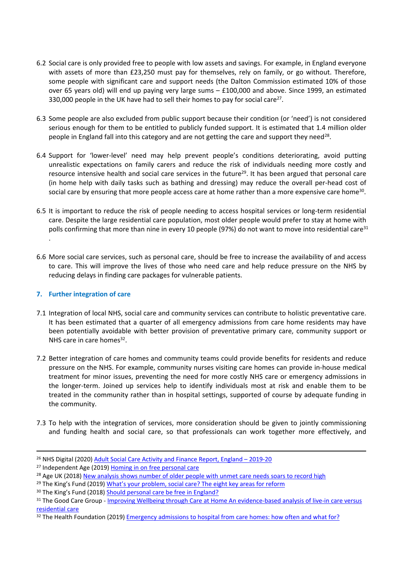- 6.2 Social care is only provided free to people with low assets and savings. For example, in England everyone with assets of more than £23,250 must pay for themselves, rely on family, or go without. Therefore, some people with significant care and support needs (the Dalton Commission estimated 10% of those over 65 years old) will end up paying very large sums – £100,000 and above. Since 1999, an estimated 330,000 people in the UK have had to sell their homes to pay for social care<sup>27</sup>.
- 6.3 Some people are also excluded from public support because their condition (or 'need') is not considered serious enough for them to be entitled to publicly funded support. It is estimated that 1.4 million older people in England fall into this category and are not getting the care and support they need<sup>28</sup>.
- 6.4 Support for 'lower-level' need may help prevent people's conditions deteriorating, avoid putting unrealistic expectations on family carers and reduce the risk of individuals needing more costly and resource intensive health and social care services in the future<sup>29</sup>. It has been argued that personal care (in home help with daily tasks such as bathing and dressing) may reduce the overall per-head cost of social care by ensuring that more people access care at home rather than a more expensive care home<sup>30</sup>.
- 6.5 It is important to reduce the risk of people needing to access hospital services or long-term residential care. Despite the large residential care population, most older people would prefer to stay at home with polls confirming that more than nine in every 10 people (97%) do not want to move into residential care<sup>31</sup> .
- 6.6 More social care services, such as personal care, should be free to increase the availability of and access to care. This will improve the lives of those who need care and help reduce pressure on the NHS by reducing delays in finding care packages for vulnerable patients.

# **7. Further integration of care**

- 7.1 Integration of local NHS, social care and community services can contribute to holistic preventative care. It has been estimated that a quarter of all emergency admissions from care home residents may have been potentially avoidable with better provision of preventative primary care, community support or NHS care in care homes<sup>32</sup>.
- 7.2 Better integration of care homes and community teams could provide benefits for residents and reduce pressure on the NHS. For example, community nurses visiting care homes can provide in-house medical treatment for minor issues, preventing the need for more costly NHS care or emergency admissions in the longer-term. Joined up services help to identify individuals most at risk and enable them to be treated in the community rather than in hospital settings, supported of course by adequate funding in the community.
- 7.3 To help with the integration of services, more consideration should be given to jointly commissioning and funding health and social care, so that professionals can work together more effectively, and

<sup>&</sup>lt;sup>26</sup> NHS Digital (2020) [Adult](https://digital.nhs.uk/data-and-information/publications/statistical/adult-social-care-activity-and-finance-report/2019-20/2.-requests-for-support) [Social](https://digital.nhs.uk/data-and-information/publications/statistical/adult-social-care-activity-and-finance-report/2019-20/2.-requests-for-support) [Care](https://digital.nhs.uk/data-and-information/publications/statistical/adult-social-care-activity-and-finance-report/2019-20/2.-requests-for-support) [Activity](https://digital.nhs.uk/data-and-information/publications/statistical/adult-social-care-activity-and-finance-report/2019-20/2.-requests-for-support) [and](https://digital.nhs.uk/data-and-information/publications/statistical/adult-social-care-activity-and-finance-report/2019-20/2.-requests-for-support) [Finance](https://digital.nhs.uk/data-and-information/publications/statistical/adult-social-care-activity-and-finance-report/2019-20/2.-requests-for-support) [Report,](https://digital.nhs.uk/data-and-information/publications/statistical/adult-social-care-activity-and-finance-report/2019-20/2.-requests-for-support) [England](https://digital.nhs.uk/data-and-information/publications/statistical/adult-social-care-activity-and-finance-report/2019-20/2.-requests-for-support) [–](https://digital.nhs.uk/data-and-information/publications/statistical/adult-social-care-activity-and-finance-report/2019-20/2.-requests-for-support) [2019-20](https://digital.nhs.uk/data-and-information/publications/statistical/adult-social-care-activity-and-finance-report/2019-20/2.-requests-for-support)

<sup>&</sup>lt;sup>27</sup> Independent Age (2019) [Homing](https://www.independentage.org/homing-on-free-personal-care) [in](https://www.independentage.org/homing-on-free-personal-care) [on](https://www.independentage.org/homing-on-free-personal-care) [free](https://www.independentage.org/homing-on-free-personal-care) [personal](https://www.independentage.org/homing-on-free-personal-care) [care](https://www.independentage.org/homing-on-free-personal-care)

<sup>&</sup>lt;sup>28</sup> Age UK (2018) [New](https://www.ageuk.org.uk/latest-press/articles/2018/july-2018/new-analysis-shows-number-of-older-people-with-unmet-care-needs-soars-to-record-high/) [analysis](https://www.ageuk.org.uk/latest-press/articles/2018/july-2018/new-analysis-shows-number-of-older-people-with-unmet-care-needs-soars-to-record-high/) [shows](https://www.ageuk.org.uk/latest-press/articles/2018/july-2018/new-analysis-shows-number-of-older-people-with-unmet-care-needs-soars-to-record-high/) [number](https://www.ageuk.org.uk/latest-press/articles/2018/july-2018/new-analysis-shows-number-of-older-people-with-unmet-care-needs-soars-to-record-high/) [of](https://www.ageuk.org.uk/latest-press/articles/2018/july-2018/new-analysis-shows-number-of-older-people-with-unmet-care-needs-soars-to-record-high/) [older](https://www.ageuk.org.uk/latest-press/articles/2018/july-2018/new-analysis-shows-number-of-older-people-with-unmet-care-needs-soars-to-record-high/) [people](https://www.ageuk.org.uk/latest-press/articles/2018/july-2018/new-analysis-shows-number-of-older-people-with-unmet-care-needs-soars-to-record-high/) [with](https://www.ageuk.org.uk/latest-press/articles/2018/july-2018/new-analysis-shows-number-of-older-people-with-unmet-care-needs-soars-to-record-high/) [unmet](https://www.ageuk.org.uk/latest-press/articles/2018/july-2018/new-analysis-shows-number-of-older-people-with-unmet-care-needs-soars-to-record-high/) [care](https://www.ageuk.org.uk/latest-press/articles/2018/july-2018/new-analysis-shows-number-of-older-people-with-unmet-care-needs-soars-to-record-high/) [needs](https://www.ageuk.org.uk/latest-press/articles/2018/july-2018/new-analysis-shows-number-of-older-people-with-unmet-care-needs-soars-to-record-high/) [soars](https://www.ageuk.org.uk/latest-press/articles/2018/july-2018/new-analysis-shows-number-of-older-people-with-unmet-care-needs-soars-to-record-high/) [to](https://www.ageuk.org.uk/latest-press/articles/2018/july-2018/new-analysis-shows-number-of-older-people-with-unmet-care-needs-soars-to-record-high/) [record](https://www.ageuk.org.uk/latest-press/articles/2018/july-2018/new-analysis-shows-number-of-older-people-with-unmet-care-needs-soars-to-record-high/) [high](https://www.ageuk.org.uk/latest-press/articles/2018/july-2018/new-analysis-shows-number-of-older-people-with-unmet-care-needs-soars-to-record-high/)

<sup>&</sup>lt;sup>29</sup> The King's Fund (2019) [What's](https://www.kingsfund.org.uk/publications/whats-your-problem-social-care) [your](https://www.kingsfund.org.uk/publications/whats-your-problem-social-care) [problem,](https://www.kingsfund.org.uk/publications/whats-your-problem-social-care) [social](https://www.kingsfund.org.uk/publications/whats-your-problem-social-care) [care?](https://www.kingsfund.org.uk/publications/whats-your-problem-social-care) [The](https://www.kingsfund.org.uk/publications/whats-your-problem-social-care) [eight](https://www.kingsfund.org.uk/publications/whats-your-problem-social-care) [key](https://www.kingsfund.org.uk/publications/whats-your-problem-social-care) [areas](https://www.kingsfund.org.uk/publications/whats-your-problem-social-care) [for](https://www.kingsfund.org.uk/publications/whats-your-problem-social-care) [reform](https://www.kingsfund.org.uk/publications/whats-your-problem-social-care)

<sup>&</sup>lt;sup>30</sup> The King's Fund (2018) [Should](https://www.google.com/url?sa=t&rct=j&q=&esrc=s&source=web&cd=&cad=rja&uact=8&ved=2ahUKEwiv_8efxLbrAhV5QEEAHczDCeIQFjAAegQIAxAB&url=https%3A%2F%2Fwww.kingsfund.org.uk%2Fblog%2F2018%2F06%2Ffree-personal-care-england&usg=AOvVaw2fX52G6VlJ8xQokFV60Kv6) [personal](https://www.google.com/url?sa=t&rct=j&q=&esrc=s&source=web&cd=&cad=rja&uact=8&ved=2ahUKEwiv_8efxLbrAhV5QEEAHczDCeIQFjAAegQIAxAB&url=https%3A%2F%2Fwww.kingsfund.org.uk%2Fblog%2F2018%2F06%2Ffree-personal-care-england&usg=AOvVaw2fX52G6VlJ8xQokFV60Kv6) [care](https://www.google.com/url?sa=t&rct=j&q=&esrc=s&source=web&cd=&cad=rja&uact=8&ved=2ahUKEwiv_8efxLbrAhV5QEEAHczDCeIQFjAAegQIAxAB&url=https%3A%2F%2Fwww.kingsfund.org.uk%2Fblog%2F2018%2F06%2Ffree-personal-care-england&usg=AOvVaw2fX52G6VlJ8xQokFV60Kv6) [be](https://www.google.com/url?sa=t&rct=j&q=&esrc=s&source=web&cd=&cad=rja&uact=8&ved=2ahUKEwiv_8efxLbrAhV5QEEAHczDCeIQFjAAegQIAxAB&url=https%3A%2F%2Fwww.kingsfund.org.uk%2Fblog%2F2018%2F06%2Ffree-personal-care-england&usg=AOvVaw2fX52G6VlJ8xQokFV60Kv6) [free](https://www.google.com/url?sa=t&rct=j&q=&esrc=s&source=web&cd=&cad=rja&uact=8&ved=2ahUKEwiv_8efxLbrAhV5QEEAHczDCeIQFjAAegQIAxAB&url=https%3A%2F%2Fwww.kingsfund.org.uk%2Fblog%2F2018%2F06%2Ffree-personal-care-england&usg=AOvVaw2fX52G6VlJ8xQokFV60Kv6) [in](https://www.google.com/url?sa=t&rct=j&q=&esrc=s&source=web&cd=&cad=rja&uact=8&ved=2ahUKEwiv_8efxLbrAhV5QEEAHczDCeIQFjAAegQIAxAB&url=https%3A%2F%2Fwww.kingsfund.org.uk%2Fblog%2F2018%2F06%2Ffree-personal-care-england&usg=AOvVaw2fX52G6VlJ8xQokFV60Kv6) [England?](https://www.google.com/url?sa=t&rct=j&q=&esrc=s&source=web&cd=&cad=rja&uact=8&ved=2ahUKEwiv_8efxLbrAhV5QEEAHczDCeIQFjAAegQIAxAB&url=https%3A%2F%2Fwww.kingsfund.org.uk%2Fblog%2F2018%2F06%2Ffree-personal-care-england&usg=AOvVaw2fX52G6VlJ8xQokFV60Kv6)

<sup>31</sup> The Good Care Group - [Improving](https://www.thegoodcaregroup.com/application/files/7015/6923/5687/TGCG_-_Improving_Wellbeing_through_Care_at_Home_Guide_-_6.11.15.pdf) [Wellbeing](https://www.thegoodcaregroup.com/application/files/7015/6923/5687/TGCG_-_Improving_Wellbeing_through_Care_at_Home_Guide_-_6.11.15.pdf) [through](https://www.thegoodcaregroup.com/application/files/7015/6923/5687/TGCG_-_Improving_Wellbeing_through_Care_at_Home_Guide_-_6.11.15.pdf) [Care](https://www.thegoodcaregroup.com/application/files/7015/6923/5687/TGCG_-_Improving_Wellbeing_through_Care_at_Home_Guide_-_6.11.15.pdf) [at](https://www.thegoodcaregroup.com/application/files/7015/6923/5687/TGCG_-_Improving_Wellbeing_through_Care_at_Home_Guide_-_6.11.15.pdf) [Home](https://www.thegoodcaregroup.com/application/files/7015/6923/5687/TGCG_-_Improving_Wellbeing_through_Care_at_Home_Guide_-_6.11.15.pdf) [An](https://www.thegoodcaregroup.com/application/files/7015/6923/5687/TGCG_-_Improving_Wellbeing_through_Care_at_Home_Guide_-_6.11.15.pdf) [evidence-based](https://www.thegoodcaregroup.com/application/files/7015/6923/5687/TGCG_-_Improving_Wellbeing_through_Care_at_Home_Guide_-_6.11.15.pdf) [analysis](https://www.thegoodcaregroup.com/application/files/7015/6923/5687/TGCG_-_Improving_Wellbeing_through_Care_at_Home_Guide_-_6.11.15.pdf) [of](https://www.thegoodcaregroup.com/application/files/7015/6923/5687/TGCG_-_Improving_Wellbeing_through_Care_at_Home_Guide_-_6.11.15.pdf) [live-in](https://www.thegoodcaregroup.com/application/files/7015/6923/5687/TGCG_-_Improving_Wellbeing_through_Care_at_Home_Guide_-_6.11.15.pdf) [care](https://www.thegoodcaregroup.com/application/files/7015/6923/5687/TGCG_-_Improving_Wellbeing_through_Care_at_Home_Guide_-_6.11.15.pdf) [versus](https://www.thegoodcaregroup.com/application/files/7015/6923/5687/TGCG_-_Improving_Wellbeing_through_Care_at_Home_Guide_-_6.11.15.pdf) [residential](https://www.thegoodcaregroup.com/application/files/7015/6923/5687/TGCG_-_Improving_Wellbeing_through_Care_at_Home_Guide_-_6.11.15.pdf) [care](https://www.thegoodcaregroup.com/application/files/7015/6923/5687/TGCG_-_Improving_Wellbeing_through_Care_at_Home_Guide_-_6.11.15.pdf)

<sup>&</sup>lt;sup>32</sup> The Health Foundation (2019) [Emergency](https://www.health.org.uk/publications/reports/emergency-admissions-to-hospital-from-care-homes) [admissions](https://www.health.org.uk/publications/reports/emergency-admissions-to-hospital-from-care-homes) [to](https://www.health.org.uk/publications/reports/emergency-admissions-to-hospital-from-care-homes) [hospital](https://www.health.org.uk/publications/reports/emergency-admissions-to-hospital-from-care-homes) [from](https://www.health.org.uk/publications/reports/emergency-admissions-to-hospital-from-care-homes) [care](https://www.health.org.uk/publications/reports/emergency-admissions-to-hospital-from-care-homes) [homes:](https://www.health.org.uk/publications/reports/emergency-admissions-to-hospital-from-care-homes) [how](https://www.health.org.uk/publications/reports/emergency-admissions-to-hospital-from-care-homes) [often](https://www.health.org.uk/publications/reports/emergency-admissions-to-hospital-from-care-homes) [and](https://www.health.org.uk/publications/reports/emergency-admissions-to-hospital-from-care-homes) [what](https://www.health.org.uk/publications/reports/emergency-admissions-to-hospital-from-care-homes) [for?](https://www.health.org.uk/publications/reports/emergency-admissions-to-hospital-from-care-homes)